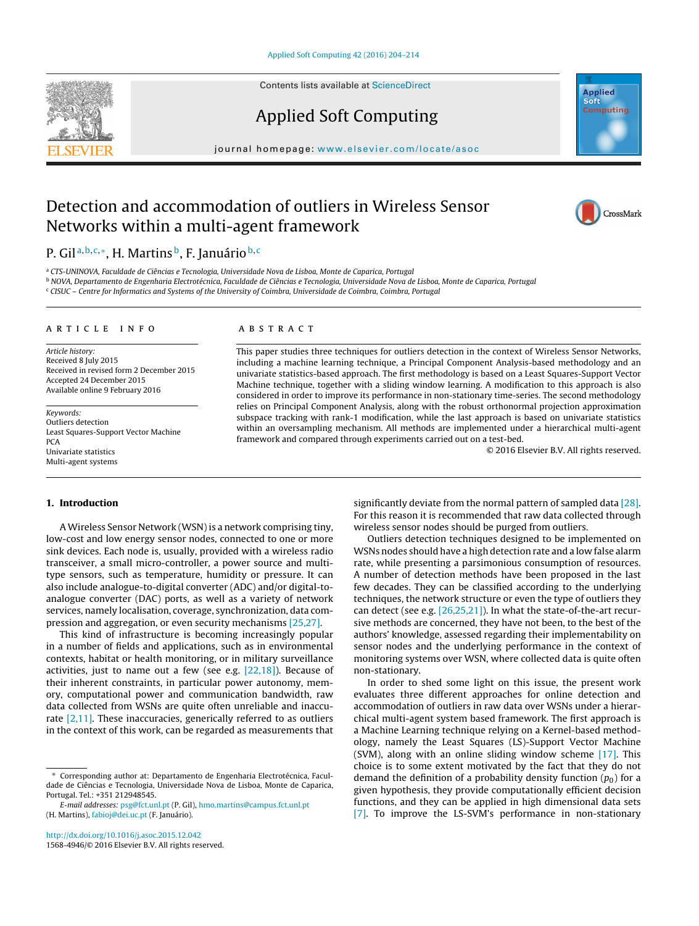Contents lists available at [ScienceDirect](http://www.sciencedirect.com/science/journal/15684946)



## Applied Soft Computing

iournal homepage: <www.elsevier.com/locate/asoc>

### Detection and accommodation of outliers in Wireless Sensor Networks within a multi-agent framework



### P. Gil<sup>a, b, c,∗</sup>, H. Martins<sup>b</sup>, F. Januário <sup>b, c</sup>

<sup>a</sup> CTS-UNINOVA, Faculdade de Ciências e Tecnologia, Universidade Nova de Lisboa, Monte de Caparica, Portugal

<sup>b</sup> NOVA, Departamento de Engenharia Electrotécnica, Faculdade de Ciências e Tecnologia, Universidade Nova de Lisboa, Monte de Caparica, Portugal

<sup>c</sup> CISUC – Centre for Informatics and Systems of the University of Coimbra, Universidade de Coimbra, Coimbra, Portugal

#### a r t i c l e i n f o

Article history: Received 8 July 2015 Received in revised form 2 December 2015 Accepted 24 December 2015 Available online 9 February 2016

Keywords: Outliers detection Least Squares-Support Vector Machine **PCA** Univariate statistics Multi-agent systems

#### A B S T R A C T

This paper studies three techniques for outliers detection in the context of Wireless Sensor Networks, including a machine learning technique, a Principal Component Analysis-based methodology and an univariate statistics-based approach. The first methodology is based on a Least Squares-Support Vector Machine technique, together with a sliding window learning. A modification to this approach is also considered in order to improve its performance in non-stationary time-series. The second methodology relies on Principal Component Analysis, along with the robust orthonormal projection approximation subspace tracking with rank-1 modification, while the last approach is based on univariate statistics within an oversampling mechanism. All methods are implemented under a hierarchical multi-agent framework and compared through experiments carried out on a test-bed.

© 2016 Elsevier B.V. All rights reserved.

### **1. Introduction**

A Wireless Sensor Network (WSN) is a network comprising tiny, low-cost and low energy sensor nodes, connected to one or more sink devices. Each node is, usually, provided with a wireless radio transceiver, a small micro-controller, a power source and multitype sensors, such as temperature, humidity or pressure. It can also include analogue-to-digital converter (ADC) and/or digital-toanalogue converter (DAC) ports, as well as a variety of network services, namely localisation, coverage, synchronization, data compression and aggregation, or even security mechanisms [\[25,27\].](#page--1-0)

This kind of infrastructure is becoming increasingly popular in a number of fields and applications, such as in environmental contexts, habitat or health monitoring, or in military surveillance activities, just to name out a few (see e.g.  $[22,18]$ ). Because of their inherent constraints, in particular power autonomy, memory, computational power and communication bandwidth, raw data collected from WSNs are quite often unreliable and inaccurate  $[2,11]$ . These inaccuracies, generically referred to as outliers in the context of this work, can be regarded as measurements that significantly deviate from the normal pattern of sampled data  $[28]$ . For this reason it is recommended that raw data collected through wireless sensor nodes should be purged from outliers.

Outliers detection techniques designed to be implemented on WSNs nodes should have a high detection rate and a low false alarm rate, while presenting a parsimonious consumption of resources. A number of detection methods have been proposed in the last few decades. They can be classified according to the underlying techniques, the network structure or even the type of outliers they can detect (see e.g. [\[26,25,21\]\).](#page--1-0) In what the state-of-the-art recursive methods are concerned, they have not been, to the best of the authors' knowledge, assessed regarding their implementability on sensor nodes and the underlying performance in the context of monitoring systems over WSN, where collected data is quite often non-stationary.

In order to shed some light on this issue, the present work evaluates three different approaches for online detection and accommodation of outliers in raw data over WSNs under a hierarchical multi-agent system based framework. The first approach is a Machine Learning technique relying on a Kernel-based methodology, namely the Least Squares (LS)-Support Vector Machine (SVM), along with an online sliding window scheme [\[17\].](#page--1-0) This choice is to some extent motivated by the fact that they do not demand the definition of a probability density function  $(p_0)$  for a given hypothesis, they provide computationally efficient decision functions, and they can be applied in high dimensional data sets [\[7\].](#page--1-0) To improve the LS-SVM's performance in non-stationary

<sup>∗</sup> Corresponding author at: Departamento de Engenharia Electrotécnica, Faculdade de Ciências e Tecnologia, Universidade Nova de Lisboa, Monte de Caparica, Portugal. Tel.: +351 212948545.

E-mail addresses: [psg@fct.unl.pt](mailto:psg@fct.unl.pt) (P. Gil), [hmo.martins@campus.fct.unl.pt](mailto:hmo.martins@campus.fct.unl.pt) (H. Martins), [fabioj@dei.uc.pt](mailto:fabioj@dei.uc.pt) (F. Januário).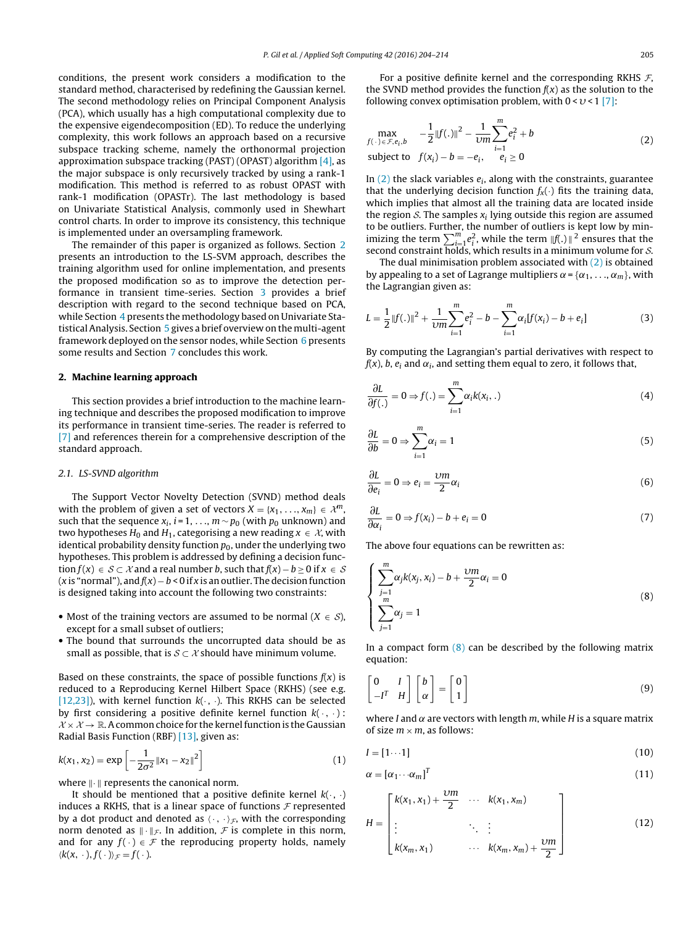conditions, the present work considers a modification to the standard method, characterised by redefining the Gaussian kernel. The second methodology relies on Principal Component Analysis (PCA), which usually has a high computational complexity due to the expensive eigendecomposition (ED). To reduce the underlying complexity, this work follows an approach based on a recursive subspace tracking scheme, namely the orthonormal projection approximation subspace tracking (PAST) (OPAST) algorithm  $[4]$ , as the major subspace is only recursively tracked by using a rank-1 modification. This method is referred to as robust OPAST with rank-1 modification (OPASTr). The last methodology is based on Univariate Statistical Analysis, commonly used in Shewhart control charts. In order to improve its consistency, this technique is implemented under an oversampling framework.

The remainder of this paper is organized as follows. Section 2 presents an introduction to the LS-SVM approach, describes the training algorithm used for online implementation, and presents the proposed modification so as to improve the detection performance in transient time-series. Section [3](#page--1-0) provides a brief description with regard to the second technique based on PCA, while Section [4](#page--1-0) presents the methodology based on Univariate StatisticalAnalysis. Section [5](#page--1-0) gives a brief overview on the multi-agent framework deployed on the sensor nodes, while Section [6](#page--1-0) presents some results and Section [7](#page--1-0) concludes this work.

#### **2. Machine learning approach**

This section provides a brief introduction to the machine learning technique and describes the proposed modification to improve its performance in transient time-series. The reader is referred to [\[7\]](#page--1-0) and references therein for a comprehensive description of the standard approach.

#### 2.1. LS-SVND algorithm

The Support Vector Novelty Detection (SVND) method deals with the problem of given a set of vectors  $X = \{x_1, \ldots, x_m\} \in \mathcal{X}^m$ , such that the sequence  $x_i$ ,  $i = 1, ..., m \sim p_0$  (with  $p_0$  unknown) and two hypotheses  $H_0$  and  $H_1$ , categorising a new reading  $x \in \mathcal{X}$ , with identical probability density function  $p_0$ , under the underlying two hypotheses. This problem is addressed by defining a decision function  $f(x) \in S \subset \mathcal{X}$  and a real number b, such that  $f(x) - b > 0$  if  $x \in S$ (x is "normal"), and  $f(x) - b < 0$  if x is an outlier. The decision function is designed taking into account the following two constraints:

- Most of the training vectors are assumed to be normal  $(X \in S)$ , except for a small subset of outliers;
- The bound that surrounds the uncorrupted data should be as small as possible, that is  $S \subset \mathcal{X}$  should have minimum volume.

Based on these constraints, the space of possible functions  $f(x)$  is reduced to a Reproducing Kernel Hilbert Space (RKHS) (see e.g. [\[12,23\]\),](#page--1-0) with kernel function  $k(\cdot, \cdot)$ . This RKHS can be selected by first considering a positive definite kernel function  $k(\cdot, \cdot)$ :  $X \times X \rightarrow \mathbb{R}$ . A common choice for the kernel function is the Gaussian Radial Basis Function (RBF) [\[13\],](#page--1-0) given as:

$$
k(x_1, x_2) = \exp\left[-\frac{1}{2\sigma^2}||x_1 - x_2||^2\right]
$$
 (1)

where  $\|\cdot\|$  represents the canonical norm.

It should be mentioned that a positive definite kernel  $k(\cdot, \cdot)$ induces a RKHS, that is a linear space of functions  $\mathcal F$  represented by a dot product and denoted as  $\langle\,\cdot\,,\,\cdot\,\rangle_{\mathcal{F}}$ , with the corresponding norm denoted as  $\|\cdot\|_{\mathcal{F}}$ . In addition,  $\mathcal F$  is complete in this norm, and for any  $f(\cdot) \in \mathcal{F}$  the reproducing property holds, namely  $\langle k(x, \cdot), f(\cdot) \rangle_{\mathcal{F}} = f(\cdot).$ 

For a positive definite kernel and the corresponding RKHS  $\mathcal{F}$ , the SVND method provides the function  $f(x)$  as the solution to the following convex optimisation problem, with  $0 < v < 1$  [\[7\]:](#page--1-0)

$$
\max_{f(\cdot) \in \mathcal{F}, e_i, b} \quad -\frac{1}{2} \|f(\cdot)\|^2 - \frac{1}{\nu m} \sum_{i=1}^m e_i^2 + b
$$
\n
$$
\text{subject to} \quad f(x_i) - b = -e_i, \quad e_i \ge 0
$$
\n
$$
(2)
$$

In  $(2)$  the slack variables  $e_i$ , along with the constraints, guarantee that the underlying decision function  $f_x(\cdot)$  fits the training data, which implies that almost all the training data are located inside the region  $S$ . The samples  $x_i$  lying outside this region are assumed to be outliers. Further, the number of outliers is kept low by minimizing the term  $\sum_{i=1}^{m} e_i^2$ , while the term  $||f(.)||^2$  ensures that the second constraint holds, which results in a minimum volume for S.

The dual minimisation problem associated with  $(2)$  is obtained by appealing to a set of Lagrange multipliers  $\alpha = {\alpha_1, \ldots, \alpha_m}$ , with the Lagrangian given as:

$$
L = \frac{1}{2} ||f(.)||^{2} + \frac{1}{\nu m} \sum_{i=1}^{m} e_{i}^{2} - b - \sum_{i=1}^{m} \alpha_{i} [f(x_{i}) - b + e_{i}]
$$
 (3)

By computing the Lagrangian's partial derivatives with respect to  $f(x)$ , b,  $e_i$  and  $\alpha_i$ , and setting them equal to zero, it follows that,

$$
\frac{\partial L}{\partial f(.)} = 0 \Rightarrow f(.) = \sum_{i=1}^{m} \alpha_i k(x_i, .)
$$
\n(4)

$$
\frac{\partial L}{\partial b} = 0 \Rightarrow \sum_{i=1}^{m} \alpha_i = 1 \tag{5}
$$

$$
\frac{\partial L}{\partial e_i} = 0 \Rightarrow e_i = \frac{\nu m}{2} \alpha_i \tag{6}
$$

$$
\frac{\partial L}{\partial \alpha_i} = 0 \Rightarrow f(x_i) - b + e_i = 0 \tag{7}
$$

The above four equations can be rewritten as:

$$
\begin{cases} \sum_{j=1}^{m} \alpha_j k(x_j, x_i) - b + \frac{vm}{2} \alpha_i = 0\\ \sum_{j=1}^{m} \alpha_j = 1 \end{cases}
$$
 (8)

In a compact form  $(8)$  can be described by the following matrix equation:

$$
\begin{bmatrix} 0 & I \\ -I^T & H \end{bmatrix} \begin{bmatrix} b \\ \alpha \end{bmatrix} = \begin{bmatrix} 0 \\ 1 \end{bmatrix}
$$
 (9)

where I and  $\alpha$  are vectors with length m, while H is a square matrix of size  $m \times m$ , as follows:

$$
I = [1 \cdots 1] \tag{10}
$$

$$
\alpha = [\alpha_1 \cdots \alpha_m]^T
$$
 (11)

$$
H = \begin{bmatrix} k(x_1, x_1) + \frac{vm}{2} & \cdots & k(x_1, x_m) \\ \vdots & & \ddots & \vdots \\ k(x_m, x_1) & \cdots & k(x_m, x_m) + \frac{vm}{2} \end{bmatrix}
$$
 (12)